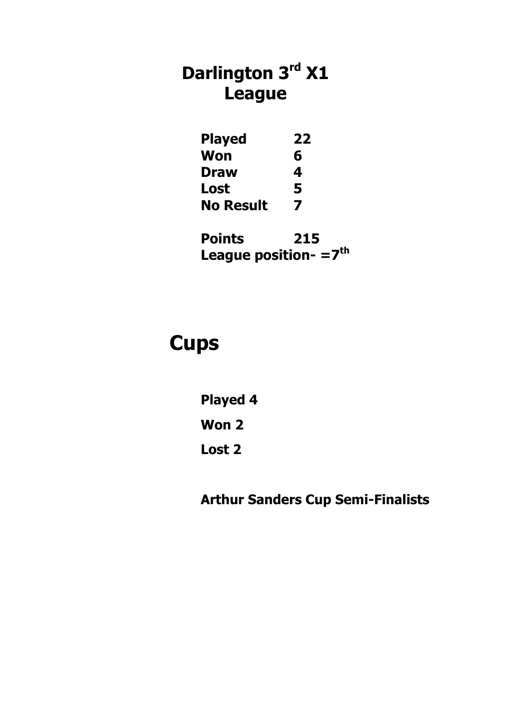# **Darlington 3rd X1 League**

| <b>Played</b> | 22 |
|---------------|----|
| Won           | 6  |
| Draw          | 4  |
| Lost          | 5  |
| No Result     | 7  |

**Points 215 League position- =7th**

# **Cups**

**Played 4**

**Won 2**

**Lost 2**

**Arthur Sanders Cup Semi-Finalists**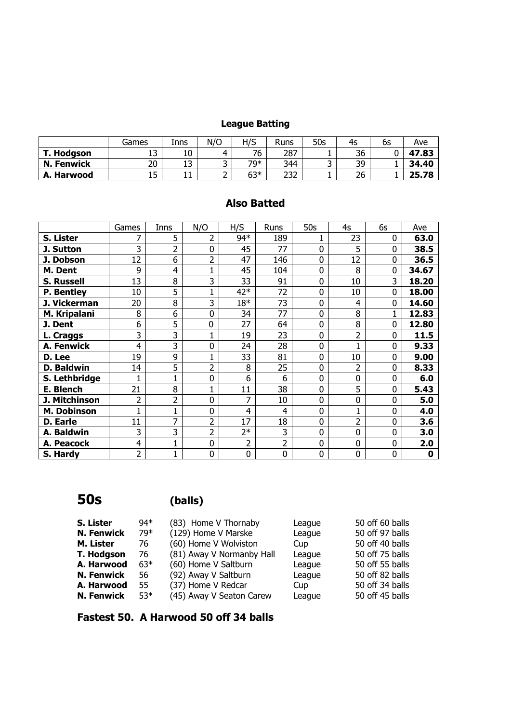### **League Batting**

|                   | Games | Inns       | N/O | H/S   | <b>Runs</b> | 50s    | 4s | 6s | Ave   |
|-------------------|-------|------------|-----|-------|-------------|--------|----|----|-------|
| T. Hodgson        | ᅩ     | 10         |     | 76    | 287         |        | 36 |    | 47.83 |
| <b>N. Fenwick</b> | 20    | ∍<br>∸     | ـ   | 70*   | 344         | ∽<br>້ | 39 |    | 34.40 |
| A. Harwood        | ᅩ     | <b>. .</b> |     | $63*$ | าวา<br>ےرے  |        | 26 |    | 25.78 |

#### **Also Batted**

|                   | Games          | Inns           | N/O            | H/S   | Runs           | 50s            | 4s             | 6s | Ave   |
|-------------------|----------------|----------------|----------------|-------|----------------|----------------|----------------|----|-------|
| S. Lister         | 7              | 5              | 2              | 94*   | 189            |                | 23             | 0  | 63.0  |
| J. Sutton         | 3              | $\overline{2}$ | 0              | 45    | 77             | $\overline{0}$ | 5              | 0  | 38.5  |
| J. Dobson         | 12             | 6              | $\overline{2}$ | 47    | 146            | $\overline{0}$ | 12             | 0  | 36.5  |
| M. Dent           | 9              | 4              | 1              | 45    | 104            | 0              | 8              | 0  | 34.67 |
| <b>S. Russell</b> | 13             | 8              | 3              | 33    | 91             | $\overline{0}$ | 10             | 3  | 18.20 |
| P. Bentley        | 10             | 5              | $\mathbf 1$    | $42*$ | 72             | $\overline{0}$ | 10             | 0  | 18.00 |
| J. Vickerman      | 20             | 8              | 3              | $18*$ | 73             | $\overline{0}$ | $\overline{4}$ | 0  | 14.60 |
| M. Kripalani      | 8              | 6              | 0              | 34    | 77             | 0              | 8              | 1  | 12.83 |
| J. Dent           | 6              | 5              | 0              | 27    | 64             | 0              | 8              | 0  | 12.80 |
| L. Craggs         | 3              | 3              | $\mathbf{1}$   | 19    | 23             | $\overline{0}$ | 2              | 0  | 11.5  |
| A. Fenwick        | 4              | 3              | 0              | 24    | 28             | 0              | 1              | 0  | 9.33  |
| D. Lee            | 19             | 9              | $\mathbf 1$    | 33    | 81             | $\overline{0}$ | 10             | 0  | 9.00  |
| <b>D. Baldwin</b> | 14             | 5              | $\overline{2}$ | 8     | 25             | $\overline{0}$ | $\overline{2}$ | 0  | 8.33  |
| S. Lethbridge     |                |                | 0              | 6     | 6              | $\overline{0}$ | 0              | 0  | 6.0   |
| E. Blench         | 21             | 8              | $\mathbf{1}$   | 11    | 38             | $\overline{0}$ | 5              | 0  | 5.43  |
| J. Mitchinson     | $\overline{2}$ | $\overline{2}$ | $\overline{0}$ | 7     | 10             | 0              | 0              | 0  | 5.0   |
| M. Dobinson       | 1              |                | $\overline{0}$ | 4     | 4              | $\overline{0}$ | 1              | 0  | 4.0   |
| <b>D.</b> Earle   | 11             | 7              | $\overline{2}$ | 17    | 18             | $\overline{0}$ | $\overline{2}$ | 0  | 3.6   |
| A. Baldwin        | 3              | 3              | $\overline{2}$ | $2*$  | 3              | $\overline{0}$ | 0              | 0  | 3.0   |
| A. Peacock        | 4              | 1              | $\mathbf 0$    | 2     | $\overline{2}$ | 0              | 0              | 0  | 2.0   |
| S. Hardy          | $\overline{2}$ | 1              | $\mathbf 0$    | 0     | $\mathbf 0$    | 0              | 0              | 0  | 0     |

**50s (balls)**

| S. Lister         | 94*   | (83) Home V Thornaby      | League | 50 off 60 balls |
|-------------------|-------|---------------------------|--------|-----------------|
| <b>N. Fenwick</b> | 79*   | (129) Home V Marske       | League | 50 off 97 balls |
| M. Lister         | 76    | (60) Home V Wolviston     | Cup    | 50 off 40 balls |
| T. Hodgson        | 76    | (81) Away V Normanby Hall | League | 50 off 75 balls |
| A. Harwood        | $63*$ | (60) Home V Saltburn      | League | 50 off 55 balls |
| <b>N. Fenwick</b> | 56    | (92) Away V Saltburn      | League | 50 off 82 balls |
| A. Harwood        | 55    | (37) Home V Redcar        | Cup    | 50 off 34 balls |
| <b>N. Fenwick</b> | $53*$ | (45) Away V Seaton Carew  | League | 50 off 45 balls |

**Fastest 50. A Harwood 50 off 34 balls**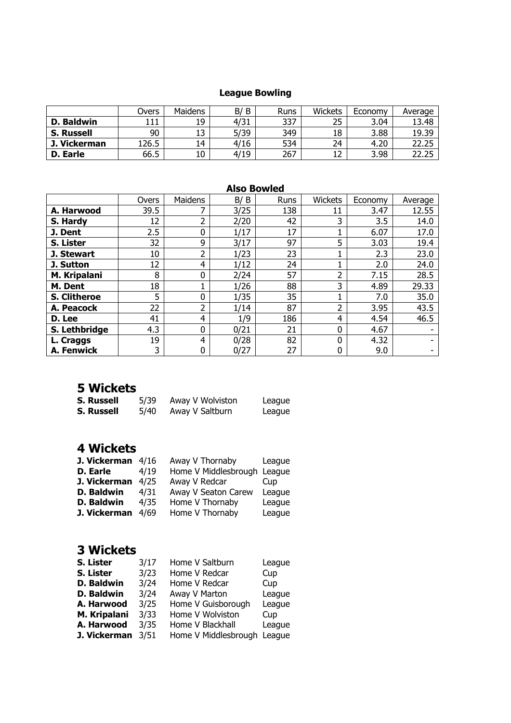### **League Bowling**

|                   | Overs | Maidens | B<br>B/ | <b>Runs</b> | Wickets | Economy | Average |
|-------------------|-------|---------|---------|-------------|---------|---------|---------|
| D. Baldwin        | L11   | 19      | 4/31    | 337         | 25      | 3.04    | 13.48   |
| <b>S. Russell</b> | 90    |         | 5/39    | 349         | 18      | 3.88    | 19.39   |
| Vickerman         | L26.5 | 14      | 4/16    | 534         | 24      | 4.20    | 22.25   |
| D. Earle          | 66.5  | 10      | 4/19    | 267         |         | 3.98    | つつ      |

#### **Also Bowled**

|                     | Overs | Maidens | B/<br>B | Runs | Wickets | Economy | Average |
|---------------------|-------|---------|---------|------|---------|---------|---------|
| A. Harwood          | 39.5  |         | 3/25    | 138  | 11      | 3.47    | 12.55   |
| S. Hardy            | 12    | ำ       | 2/20    | 42   | 3       | 3.5     | 14.0    |
| J. Dent             | 2.5   | 0       | 1/17    | 17   |         | 6.07    | 17.0    |
| S. Lister           | 32    | 9       | 3/17    | 97   | 5       | 3.03    | 19.4    |
| J. Stewart          | 10    | ว       | 1/23    | 23   |         | 2.3     | 23.0    |
| J. Sutton           | 12    | 4       | 1/12    | 24   |         | 2.0     | 24.0    |
| M. Kripalani        | 8     | 0       | 2/24    | 57   | 2       | 7.15    | 28.5    |
| M. Dent             | 18    |         | 1/26    | 88   | 3       | 4.89    | 29.33   |
| <b>S. Clitheroe</b> | 5     | 0       | 1/35    | 35   |         | 7.0     | 35.0    |
| A. Peacock          | 22    | ำ       | 1/14    | 87   | 2       | 3.95    | 43.5    |
| D. Lee              | 41    | 4       | 1/9     | 186  | 4       | 4.54    | 46.5    |
| S. Lethbridge       | 4.3   | 0       | 0/21    | 21   | 0       | 4.67    |         |
| L. Craggs           | 19    | 4       | 0/28    | 82   | 0       | 4.32    |         |
| A. Fenwick          | 3     | 0       | 0/27    | 27   | 0       | 9.0     |         |

# **5 Wickets**

| <b>S. Russell</b> | 5/39 | Away V Wolviston | League |
|-------------------|------|------------------|--------|
| <b>S. Russell</b> | 5/40 | Away V Saltburn  | League |

#### **4 Wickets**

| J. Vickerman $4/16$ |      | Away V Thornaby             | League |
|---------------------|------|-----------------------------|--------|
| <b>D. Earle</b>     | 4/19 | Home V Middlesbrough League |        |
| J. Vickerman        | 4/25 | Away V Redcar               | Cup    |
| D. Baldwin          | 4/31 | Away V Seaton Carew         | League |
| D. Baldwin          | 4/35 | Home V Thornaby             | League |
| J. Vickerman        | 4/69 | Home V Thornaby             | League |

#### **3 Wickets**

| S. Lister    | 3/17 | Home V Saltburn      | League |
|--------------|------|----------------------|--------|
| S. Lister    | 3/23 | Home V Redcar        | Cup    |
| D. Baldwin   | 3/24 | Home V Redcar        | Cup    |
| D. Baldwin   | 3/24 | Away V Marton        | League |
| A. Harwood   | 3/25 | Home V Guisborough   | League |
| M. Kripalani | 3/33 | Home V Wolviston     | Cup    |
| A. Harwood   | 3/35 | Home V Blackhall     | League |
| J. Vickerman | 3/51 | Home V Middlesbrough | League |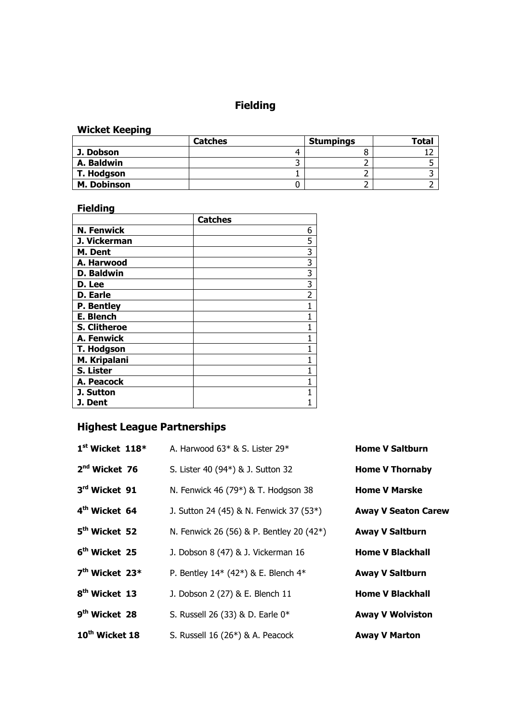# **Fielding**

#### **Wicket Keeping**

|                    | <b>Catches</b> | <b>Stumpings</b> | Tota. |
|--------------------|----------------|------------------|-------|
| J. Dobson          |                |                  |       |
| A. Baldwin         |                |                  |       |
| T. Hodgson         |                |                  |       |
| <b>M. Dobinson</b> |                |                  |       |

# **Fielding**

|                     | <b>Catches</b> |
|---------------------|----------------|
| <b>N. Fenwick</b>   | 6              |
| J. Vickerman        | 5              |
| M. Dent             | 3              |
| A. Harwood          | $\overline{3}$ |
| <b>D. Baldwin</b>   | $\overline{3}$ |
| D. Lee              | $\overline{3}$ |
| <b>D.</b> Earle     | $\overline{2}$ |
| <b>P.</b> Bentley   | 1              |
| E. Blench           |                |
| <b>S. Clitheroe</b> |                |
| <b>A. Fenwick</b>   |                |
| <b>T. Hodgson</b>   |                |
| M. Kripalani        |                |
| S. Lister           |                |
| A. Peacock          |                |
| J. Sutton           |                |
| J. Dent             |                |

# **Highest League Partnerships**

| $1st$ Wicket $118*$        | A. Harwood $63*$ & S. Lister 29 $*$      | <b>Home V Saltburn</b>     |
|----------------------------|------------------------------------------|----------------------------|
| $2nd$ Wicket 76            | S. Lister 40 (94*) & J. Sutton 32        | <b>Home V Thornaby</b>     |
| 3rd Wicket 91              | N. Fenwick 46 (79*) & T. Hodgson 38      | <b>Home V Marske</b>       |
| 4 <sup>th</sup> Wicket 64  | J. Sutton 24 (45) & N. Fenwick 37 (53*)  | <b>Away V Seaton Carew</b> |
| 5 <sup>th</sup> Wicket 52  | N. Fenwick 26 (56) & P. Bentley 20 (42*) | <b>Away V Saltburn</b>     |
| 6 <sup>th</sup> Wicket 25  | J. Dobson 8 (47) & J. Vickerman 16       | <b>Home V Blackhall</b>    |
| 7 <sup>th</sup> Wicket 23* | P. Bentley $14*$ (42*) & E. Blench $4*$  | <b>Away V Saltburn</b>     |
| 8 <sup>th</sup> Wicket 13  | J. Dobson 2 (27) & E. Blench 11          | <b>Home V Blackhall</b>    |
| 9 <sup>th</sup> Wicket 28  | S. Russell 26 (33) & D. Earle 0*         | <b>Away V Wolviston</b>    |
| 10 <sup>th</sup> Wicket 18 | S. Russell $16(26*)$ & A. Peacock        | <b>Away V Marton</b>       |